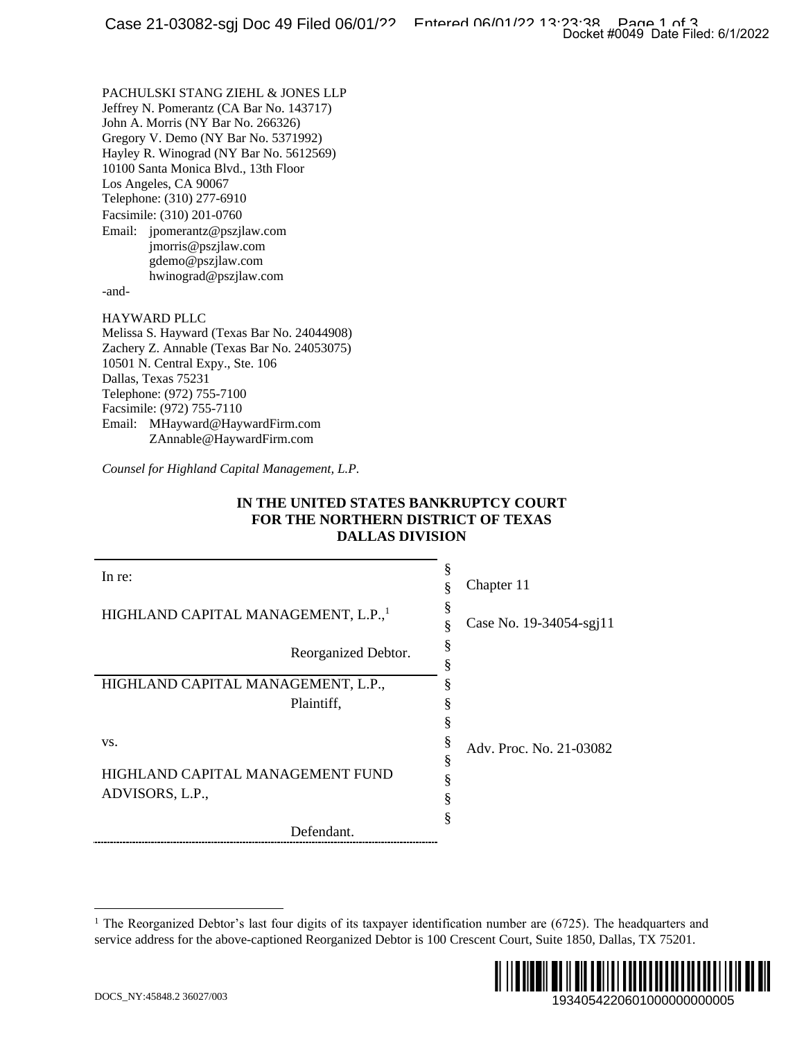#### **IN THE UNITED STATES BANKRUPTCY COURT FOR THE NORTHERN DISTRICT OF TEXAS DALLAS DIVISION**

|                                                                                                                                                                                                                                                                                                                                                                                                                                                  | Docket #0049 Date Filed: 6/1/2022 |
|--------------------------------------------------------------------------------------------------------------------------------------------------------------------------------------------------------------------------------------------------------------------------------------------------------------------------------------------------------------------------------------------------------------------------------------------------|-----------------------------------|
| PACHULSKI STANG ZIEHL & JONES LLP<br>Jeffrey N. Pomerantz (CA Bar No. 143717)<br>John A. Morris (NY Bar No. 266326)<br>Gregory V. Demo (NY Bar No. 5371992)<br>Hayley R. Winograd (NY Bar No. 5612569)<br>10100 Santa Monica Blvd., 13th Floor<br>Los Angeles, CA 90067<br>Telephone: (310) 277-6910<br>Facsimile: (310) 201-0760<br>Email: jpomerantz@pszjlaw.com<br>jmorris@pszjlaw.com<br>gdemo@pszjlaw.com<br>hwinograd@pszjlaw.com<br>-and- |                                   |
| <b>HAYWARD PLLC</b><br>Melissa S. Hayward (Texas Bar No. 24044908)<br>Zachery Z. Annable (Texas Bar No. 24053075)<br>10501 N. Central Expy., Ste. 106<br>Dallas, Texas 75231<br>Telephone: (972) 755-7100<br>Facsimile: (972) 755-7110<br>Email: MHayward@HaywardFirm.com<br>ZAnnable@HaywardFirm.com                                                                                                                                            |                                   |
| Counsel for Highland Capital Management, L.P.                                                                                                                                                                                                                                                                                                                                                                                                    |                                   |
| IN THE UNITED STATES BANKRUPTCY COURT<br>FOR THE NORTHERN DISTRICT OF TEXAS<br><b>DALLAS DIVISION</b>                                                                                                                                                                                                                                                                                                                                            |                                   |
| In re:                                                                                                                                                                                                                                                                                                                                                                                                                                           | §<br>Chapter 11<br>§              |
| HIGHLAND CAPITAL MANAGEMENT, L.P., <sup>1</sup>                                                                                                                                                                                                                                                                                                                                                                                                  | §<br>Case No. 19-34054-sgj11<br>ş |
| Reorganized Debtor.                                                                                                                                                                                                                                                                                                                                                                                                                              | §<br>§                            |
| HIGHLAND CAPITAL MANAGEMENT, L.P.,<br>Plaintiff,                                                                                                                                                                                                                                                                                                                                                                                                 | §<br>§<br>§                       |
| VS.                                                                                                                                                                                                                                                                                                                                                                                                                                              | §<br>Adv. Proc. No. 21-03082      |
| HIGHLAND CAPITAL MANAGEMENT FUND<br>ADVISORS, L.P.,                                                                                                                                                                                                                                                                                                                                                                                              | §<br>§<br>§<br>§                  |
| Defendant.                                                                                                                                                                                                                                                                                                                                                                                                                                       |                                   |
| <sup>1</sup> The Reorganized Debtor's last four digits of its taxpayer identification number are $(6725)$ . The headquarters and<br>service address for the above-captioned Reorganized Debtor is 100 Crescent Court, Suite 1850, Dallas, TX 75201.                                                                                                                                                                                              |                                   |
| DOCS_NY:45848.2 36027/003                                                                                                                                                                                                                                                                                                                                                                                                                        | Ⅲ<br>1934054220601000000000005    |

<sup>&</sup>lt;sup>1</sup> The Reorganized Debtor's last four digits of its taxpayer identification number are (6725). The headquarters and service address for the above-captioned Reorganized Debtor is 100 Crescent Court, Suite 1850, Dallas, TX 75201.

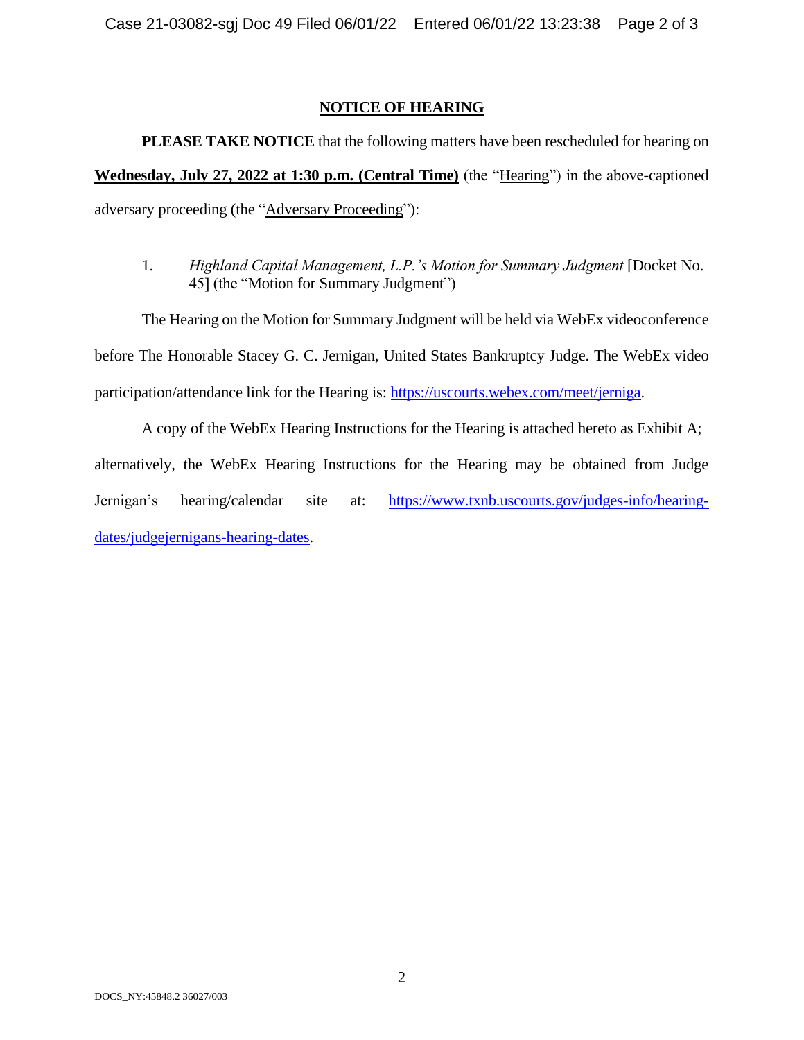#### **NOTICE OF HEARING**

**PLEASE TAKE NOTICE** that the following matters have been rescheduled for hearing on **Wednesday, July 27, 2022 at 1:30 p.m. (Central Time)** (the "Hearing") in the above-captioned adversary proceeding (the "Adversary Proceeding"):

1. *Highland Capital Management, L.P.'s Motion for Summary Judgment* [Docket No. 45] (the "Motion for Summary Judgment")

The Hearing on the Motion for Summary Judgment will be held via WebEx videoconference before The Honorable Stacey G. C. Jernigan, United States Bankruptcy Judge. The WebEx video participation/attendance link for the Hearing is: [https://uscourts.webex.com/meet/jerniga.](https://uscourts.webex.com/meet/jerniga)

A copy of the WebEx Hearing Instructions for the Hearing is attached hereto as Exhibit A; alternatively, the WebEx Hearing Instructions for the Hearing may be obtained from Judge Jernigan's hearing/calendar site at: [https://www.txnb.uscourts.gov/judges-info/hearing](https://www.txnb.uscourts.gov/judges-info/hearing-dates/judgejernigans-hearing-dates)[dates/judgejernigans-hearing-dates.](https://www.txnb.uscourts.gov/judges-info/hearing-dates/judgejernigans-hearing-dates)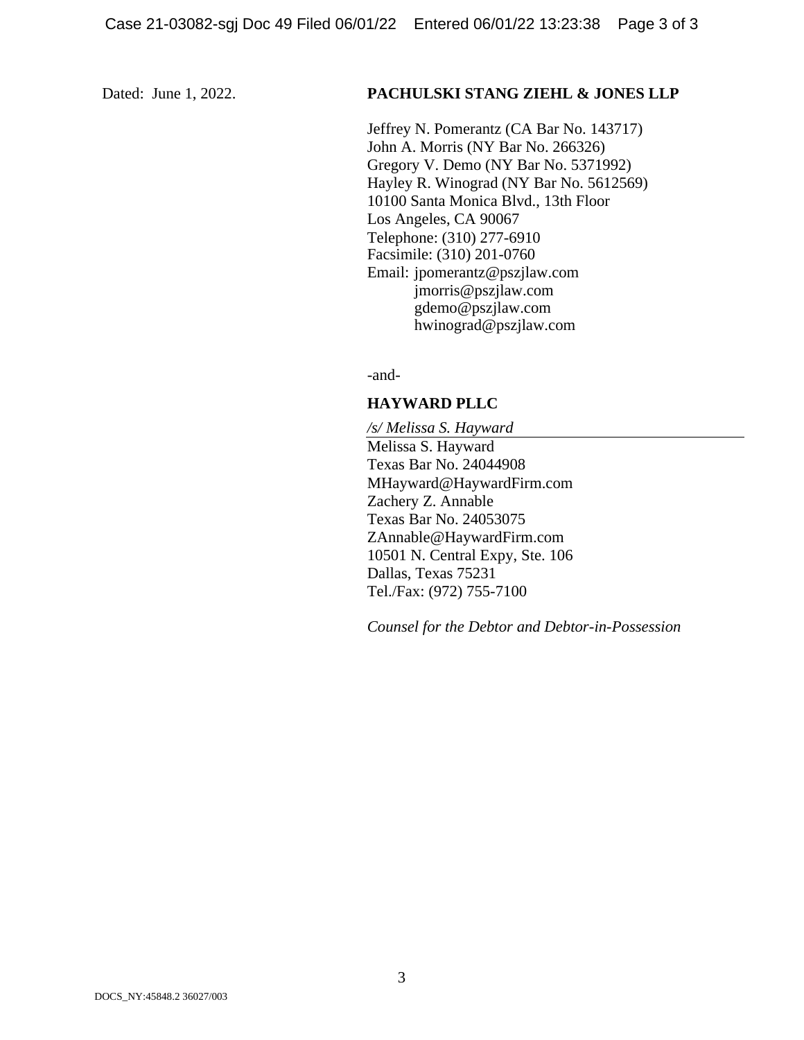#### Dated: June 1, 2022. **PACHULSKI STANG ZIEHL & JONES LLP**

Jeffrey N. Pomerantz (CA Bar No. 143717) John A. Morris (NY Bar No. 266326) Gregory V. Demo (NY Bar No. 5371992) Hayley R. Winograd (NY Bar No. 5612569) 10100 Santa Monica Blvd., 13th Floor Los Angeles, CA 90067 Telephone: (310) 277-6910 Facsimile: (310) 201-0760 Email: jpomerantz@pszjlaw.com jmorris@pszjlaw.com gdemo@pszjlaw.com hwinograd@pszjlaw.com

-and-

## **HAYWARD PLLC**

*/s/ Melissa S. Hayward* Melissa S. Hayward Texas Bar No. 24044908 MHayward@HaywardFirm.com Zachery Z. Annable Texas Bar No. 24053075 ZAnnable@HaywardFirm.com 10501 N. Central Expy, Ste. 106 Dallas, Texas 75231 Tel./Fax: (972) 755-7100

*Counsel for the Debtor and Debtor-in-Possession*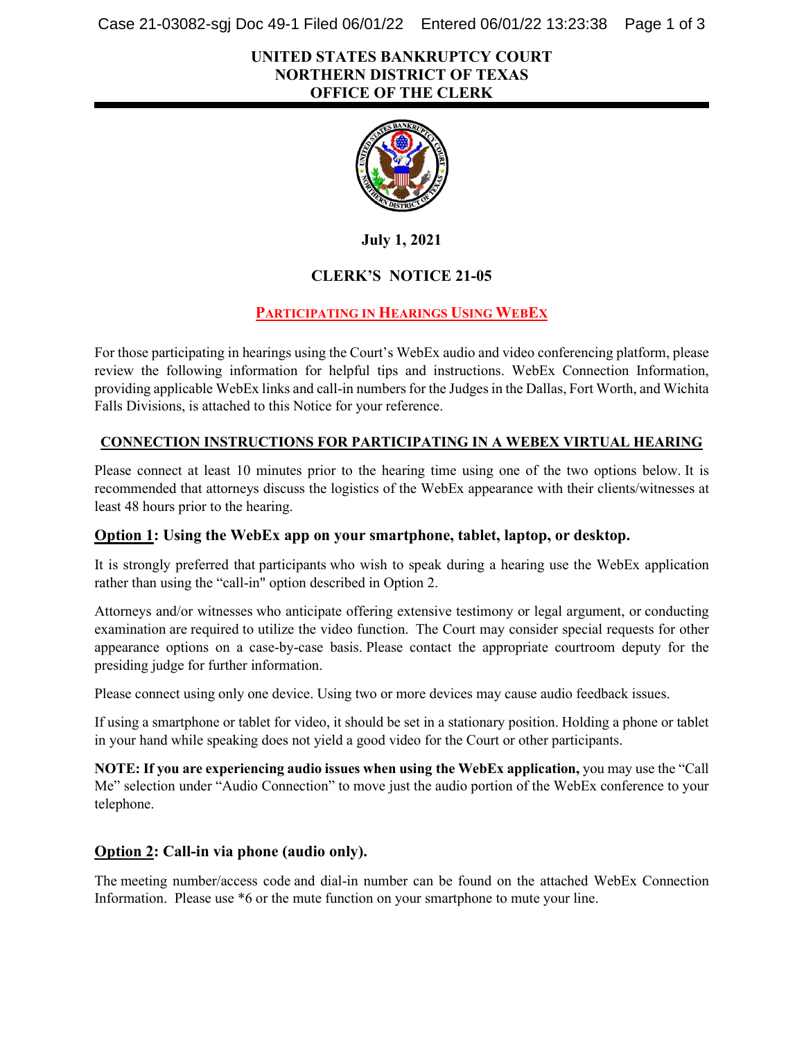Case 21-03082-sgj Doc 49-1 Filed 06/01/22 Entered 06/01/22 13:23:38 Page 1 of 3

#### **UNITED STATES BANKRUPTCY COURT NORTHERN DISTRICT OF TEXAS OFFICE OF THE CLERK**



**July 1, 2021**

## **CLERK'S NOTICE 21-05**

## **PARTICIPATING IN HEARINGS USING WEBEX**

For those participating in hearings using the Court's WebEx audio and video conferencing platform, please review the following information for helpful tips and instructions. WebEx Connection Information, providing applicable WebEx links and call-in numbersfor the Judges in the Dallas, Fort Worth, and Wichita Falls Divisions, is attached to this Notice for your reference.

#### **CONNECTION INSTRUCTIONS FOR PARTICIPATING IN A WEBEX VIRTUAL HEARING**

Please connect at least 10 minutes prior to the hearing time using one of the two options below. It is recommended that attorneys discuss the logistics of the WebEx appearance with their clients/witnesses at least 48 hours prior to the hearing.

#### **Option 1: Using the WebEx app on your smartphone, tablet, laptop, or desktop.**

It is strongly preferred that participants who wish to speak during a hearing use the WebEx application rather than using the "call-in" option described in Option 2.

Attorneys and/or witnesses who anticipate offering extensive testimony or legal argument, or conducting examination are required to utilize the video function. The Court may consider special requests for other appearance options on a case-by-case basis. Please contact the appropriate courtroom deputy for the presiding judge for further information.

Please connect using only one device. Using two or more devices may cause audio feedback issues.

If using a smartphone or tablet for video, it should be set in a stationary position. Holding a phone or tablet in your hand while speaking does not yield a good video for the Court or other participants.

**NOTE: If you are experiencing audio issues when using the WebEx application,** you may use the "Call Me" selection under "Audio Connection" to move just the audio portion of the WebEx conference to your telephone.

#### **Option 2: Call-in via phone (audio only).**

The meeting number/access code and dial-in number can be found on the attached WebEx Connection Information. Please use \*6 or the mute function on your smartphone to mute your line.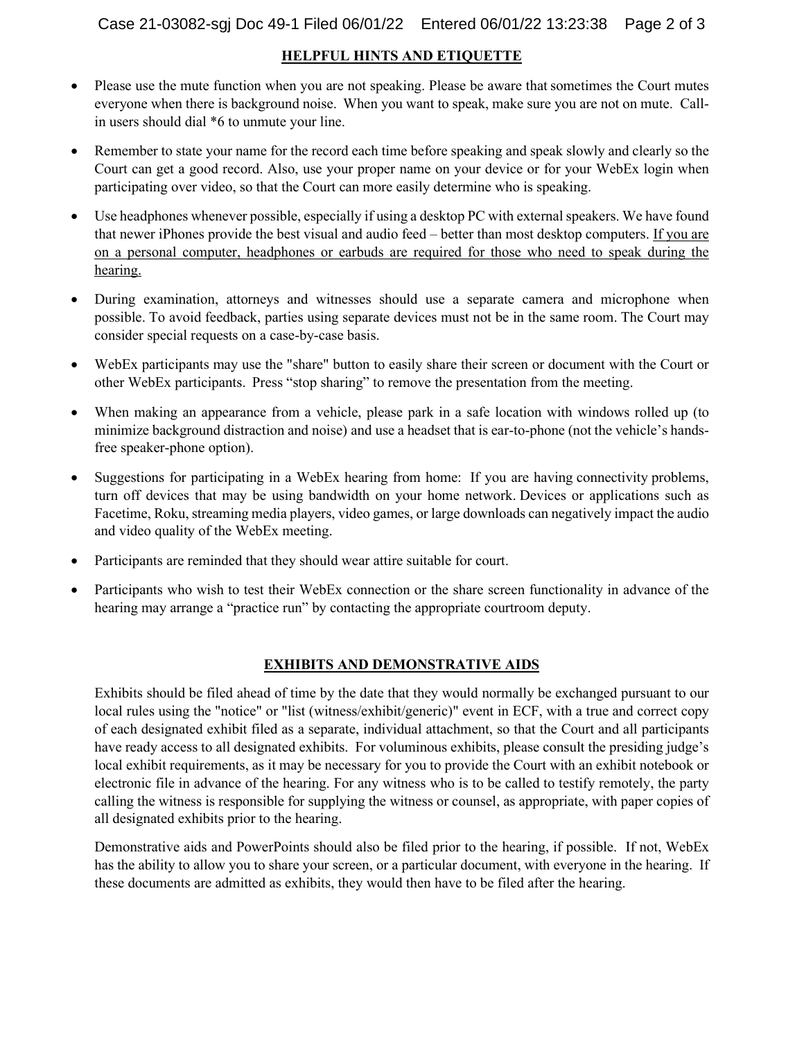#### **HELPFUL HINTS AND ETIQUETTE**

- Please use the mute function when you are not speaking. Please be aware that sometimes the Court mutes everyone when there is background noise.  When you want to speak, make sure you are not on mute. Callin users should dial \*6 to unmute your line.
- Remember to state your name for the record each time before speaking and speak slowly and clearly so the Court can get a good record. Also, use your proper name on your device or for your WebEx login when participating over video, so that the Court can more easily determine who is speaking.
- Use headphones whenever possible, especially if using a desktop PC with external speakers. We have found that newer iPhones provide the best visual and audio feed – better than most desktop computers. If you are on a personal computer, headphones or earbuds are required for those who need to speak during the hearing.
- During examination, attorneys and witnesses should use a separate camera and microphone when possible. To avoid feedback, parties using separate devices must not be in the same room. The Court may consider special requests on a case-by-case basis.
- WebEx participants may use the "share" button to easily share their screen or document with the Court or other WebEx participants.  Press "stop sharing" to remove the presentation from the meeting.
- When making an appearance from a vehicle, please park in a safe location with windows rolled up (to minimize background distraction and noise) and use a headset that is ear-to-phone (not the vehicle's handsfree speaker-phone option).
- Suggestions for participating in a WebEx hearing from home: If you are having connectivity problems, turn off devices that may be using bandwidth on your home network. Devices or applications such as Facetime, Roku, streaming media players, video games, or large downloads can negatively impact the audio and video quality of the WebEx meeting.
- Participants are reminded that they should wear attire suitable for court.
- Participants who wish to test their WebEx connection or the share screen functionality in advance of the hearing may arrange a "practice run" by contacting the appropriate courtroom deputy.

#### **EXHIBITS AND DEMONSTRATIVE AIDS**

Exhibits should be filed ahead of time by the date that they would normally be exchanged pursuant to our local rules using the "notice" or "list (witness/exhibit/generic)" event in ECF, with a true and correct copy of each designated exhibit filed as a separate, individual attachment, so that the Court and all participants have ready access to all designated exhibits. For voluminous exhibits, please consult the presiding judge's local exhibit requirements, as it may be necessary for you to provide the Court with an exhibit notebook or electronic file in advance of the hearing. For any witness who is to be called to testify remotely, the party calling the witness is responsible for supplying the witness or counsel, as appropriate, with paper copies of all designated exhibits prior to the hearing.

Demonstrative aids and PowerPoints should also be filed prior to the hearing, if possible. If not, WebEx has the ability to allow you to share your screen, or a particular document, with everyone in the hearing. If these documents are admitted as exhibits, they would then have to be filed after the hearing.